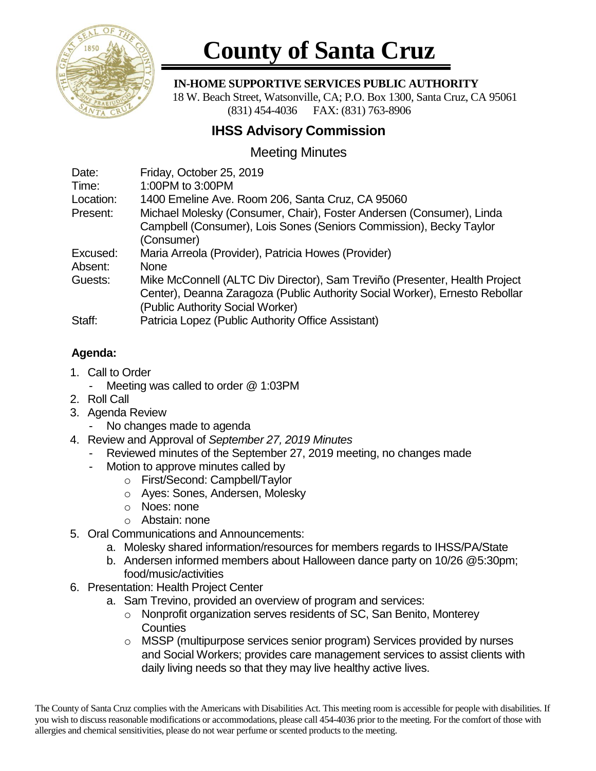

# **County of Santa Cruz**

#### **IN-HOME SUPPORTIVE SERVICES PUBLIC AUTHORITY**

 18 W. Beach Street, Watsonville, CA; P.O. Box 1300, Santa Cruz, CA 95061 (831) 454-4036 FAX: (831) 763-8906

## **IHSS Advisory Commission**

## Meeting Minutes

| Date:     | Friday, October 25, 2019                                                    |
|-----------|-----------------------------------------------------------------------------|
| Time:     | 1:00PM to 3:00PM                                                            |
| Location: | 1400 Emeline Ave. Room 206, Santa Cruz, CA 95060                            |
| Present:  | Michael Molesky (Consumer, Chair), Foster Andersen (Consumer), Linda        |
|           | Campbell (Consumer), Lois Sones (Seniors Commission), Becky Taylor          |
|           | (Consumer)                                                                  |
| Excused:  | Maria Arreola (Provider), Patricia Howes (Provider)                         |
| Absent:   | <b>None</b>                                                                 |
| Guests:   | Mike McConnell (ALTC Div Director), Sam Treviño (Presenter, Health Project  |
|           | Center), Deanna Zaragoza (Public Authority Social Worker), Ernesto Rebollar |
|           | (Public Authority Social Worker)                                            |
| Staff:    | Patricia Lopez (Public Authority Office Assistant)                          |

### **Agenda:**

- 1. Call to Order
	- Meeting was called to order @ 1:03PM
- 2. Roll Call
- 3. Agenda Review
	- No changes made to agenda
- 4. Review and Approval of *September 27, 2019 Minutes*
	- Reviewed minutes of the September 27, 2019 meeting, no changes made
	- Motion to approve minutes called by
		- o First/Second: Campbell/Taylor
		- o Ayes: Sones, Andersen, Molesky
		- o Noes: none
		- o Abstain: none
- 5. Oral Communications and Announcements:
	- a. Molesky shared information/resources for members regards to IHSS/PA/State
	- b. Andersen informed members about Halloween dance party on 10/26 @5:30pm; food/music/activities
- 6. Presentation: Health Project Center
	- a. Sam Trevino, provided an overview of program and services:
		- o Nonprofit organization serves residents of SC, San Benito, Monterey **Counties**
		- o MSSP (multipurpose services senior program) Services provided by nurses and Social Workers; provides care management services to assist clients with daily living needs so that they may live healthy active lives.

The County of Santa Cruz complies with the Americans with Disabilities Act. This meeting room is accessible for people with disabilities. If you wish to discuss reasonable modifications or accommodations, please call 454-4036 prior to the meeting. For the comfort of those with allergies and chemical sensitivities, please do not wear perfume or scented products to the meeting.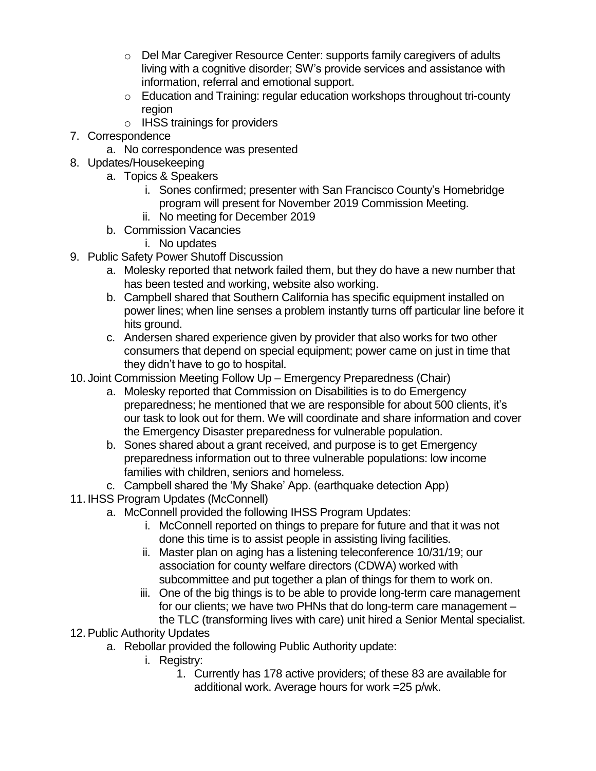- o Del Mar Caregiver Resource Center: supports family caregivers of adults living with a cognitive disorder; SW's provide services and assistance with information, referral and emotional support.
- o Education and Training: regular education workshops throughout tri-county region
- o IHSS trainings for providers
- 7. Correspondence
	- a. No correspondence was presented
- 8. Updates/Housekeeping
	- a. Topics & Speakers
		- i. Sones confirmed; presenter with San Francisco County's Homebridge program will present for November 2019 Commission Meeting.
		- ii. No meeting for December 2019
	- b. Commission Vacancies
		- i. No updates
- 9. Public Safety Power Shutoff Discussion
	- a. Molesky reported that network failed them, but they do have a new number that has been tested and working, website also working.
	- b. Campbell shared that Southern California has specific equipment installed on power lines; when line senses a problem instantly turns off particular line before it hits ground.
	- c. Andersen shared experience given by provider that also works for two other consumers that depend on special equipment; power came on just in time that they didn't have to go to hospital.
- 10. Joint Commission Meeting Follow Up Emergency Preparedness (Chair)
	- a. Molesky reported that Commission on Disabilities is to do Emergency preparedness; he mentioned that we are responsible for about 500 clients, it's our task to look out for them. We will coordinate and share information and cover the Emergency Disaster preparedness for vulnerable population.
	- b. Sones shared about a grant received, and purpose is to get Emergency preparedness information out to three vulnerable populations: low income families with children, seniors and homeless.
	- c. Campbell shared the 'My Shake' App. (earthquake detection App)
- 11. IHSS Program Updates (McConnell)
	- a. McConnell provided the following IHSS Program Updates:
		- i. McConnell reported on things to prepare for future and that it was not done this time is to assist people in assisting living facilities.
		- ii. Master plan on aging has a listening teleconference 10/31/19; our association for county welfare directors (CDWA) worked with subcommittee and put together a plan of things for them to work on.
		- iii. One of the big things is to be able to provide long-term care management for our clients; we have two PHNs that do long-term care management – the TLC (transforming lives with care) unit hired a Senior Mental specialist.
- 12.Public Authority Updates
	- a. Rebollar provided the following Public Authority update:
		- i. Registry:
			- 1. Currently has 178 active providers; of these 83 are available for additional work. Average hours for work =25 p/wk.